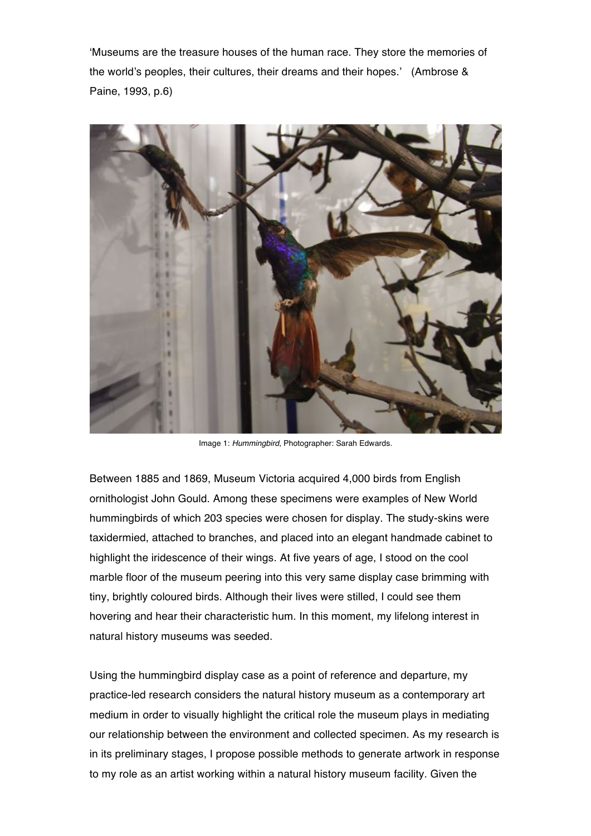'Museums are the treasure houses of the human race. They store the memories of the world's peoples, their cultures, their dreams and their hopes.' (Ambrose & Paine, 1993, p.6)



Image 1: *Hummingbird*, Photographer: Sarah Edwards.

Between 1885 and 1869, Museum Victoria acquired 4,000 birds from English ornithologist John Gould. Among these specimens were examples of New World hummingbirds of which 203 species were chosen for display. The study-skins were taxidermied, attached to branches, and placed into an elegant handmade cabinet to highlight the iridescence of their wings. At five years of age, I stood on the cool marble floor of the museum peering into this very same display case brimming with tiny, brightly coloured birds. Although their lives were stilled, I could see them hovering and hear their characteristic hum. In this moment, my lifelong interest in natural history museums was seeded.

Using the hummingbird display case as a point of reference and departure, my practice-led research considers the natural history museum as a contemporary art medium in order to visually highlight the critical role the museum plays in mediating our relationship between the environment and collected specimen. As my research is in its preliminary stages, I propose possible methods to generate artwork in response to my role as an artist working within a natural history museum facility. Given the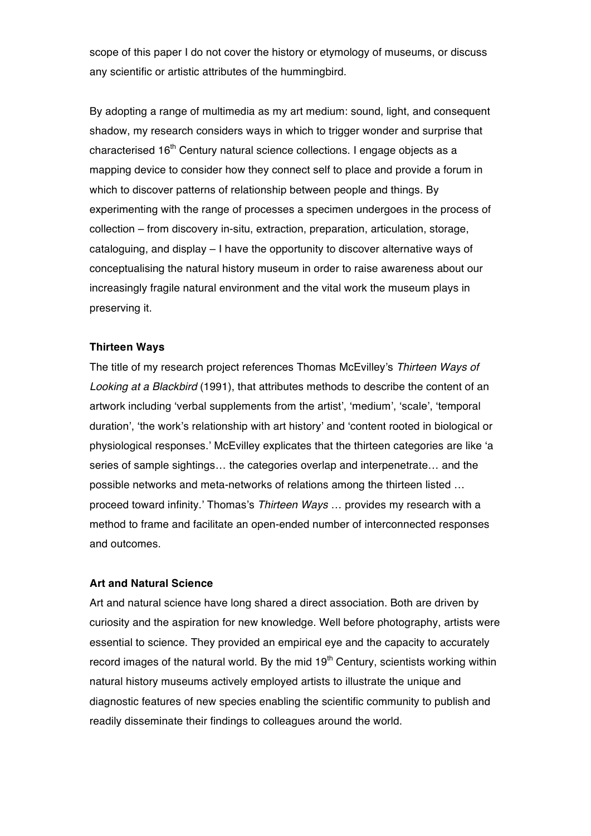scope of this paper I do not cover the history or etymology of museums, or discuss any scientific or artistic attributes of the hummingbird.

By adopting a range of multimedia as my art medium: sound, light, and consequent shadow, my research considers ways in which to trigger wonder and surprise that characterised 16<sup>th</sup> Century natural science collections. I engage objects as a mapping device to consider how they connect self to place and provide a forum in which to discover patterns of relationship between people and things. By experimenting with the range of processes a specimen undergoes in the process of collection – from discovery in-situ, extraction, preparation, articulation, storage, cataloguing, and display – I have the opportunity to discover alternative ways of conceptualising the natural history museum in order to raise awareness about our increasingly fragile natural environment and the vital work the museum plays in preserving it.

# **Thirteen Ways**

The title of my research project references Thomas McEvilley's *Thirteen Ways of Looking at a Blackbird* (1991), that attributes methods to describe the content of an artwork including 'verbal supplements from the artist', 'medium', 'scale', 'temporal duration', 'the work's relationship with art history' and 'content rooted in biological or physiological responses.' McEvilley explicates that the thirteen categories are like 'a series of sample sightings… the categories overlap and interpenetrate… and the possible networks and meta-networks of relations among the thirteen listed … proceed toward infinity.' Thomas's *Thirteen Ways …* provides my research with a method to frame and facilitate an open-ended number of interconnected responses and outcomes.

### **Art and Natural Science**

Art and natural science have long shared a direct association. Both are driven by curiosity and the aspiration for new knowledge. Well before photography, artists were essential to science. They provided an empirical eye and the capacity to accurately record images of the natural world. By the mid  $19<sup>th</sup>$  Century, scientists working within natural history museums actively employed artists to illustrate the unique and diagnostic features of new species enabling the scientific community to publish and readily disseminate their findings to colleagues around the world.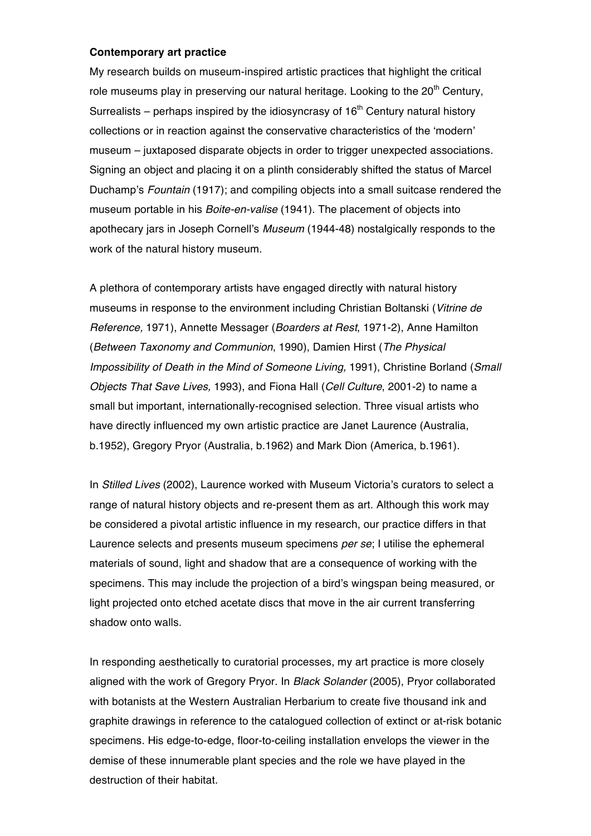#### **Contemporary art practice**

My research builds on museum-inspired artistic practices that highlight the critical role museums play in preserving our natural heritage. Looking to the  $20<sup>th</sup>$  Century, Surrealists – perhaps inspired by the idiosyncrasy of  $16<sup>th</sup>$  Century natural history collections or in reaction against the conservative characteristics of the 'modern' museum – juxtaposed disparate objects in order to trigger unexpected associations. Signing an object and placing it on a plinth considerably shifted the status of Marcel Duchamp's *Fountain* (1917); and compiling objects into a small suitcase rendered the museum portable in his *Boite-en-valise* (1941). The placement of objects into apothecary jars in Joseph Cornell's *Museum* (1944-48) nostalgically responds to the work of the natural history museum.

A plethora of contemporary artists have engaged directly with natural history museums in response to the environment including Christian Boltanski (*Vitrine de Reference,* 1971), Annette Messager (*Boarders at Rest*, 1971-2), Anne Hamilton (*Between Taxonomy and Communion*, 1990), Damien Hirst (*The Physical Impossibility of Death in the Mind of Someone Living,* 1991), Christine Borland (*Small Objects That Save Lives,* 1993), and Fiona Hall (*Cell Culture*, 2001-2) to name a small but important, internationally-recognised selection. Three visual artists who have directly influenced my own artistic practice are Janet Laurence (Australia, b.1952), Gregory Pryor (Australia, b.1962) and Mark Dion (America, b.1961).

In *Stilled Lives* (2002), Laurence worked with Museum Victoria's curators to select a range of natural history objects and re-present them as art. Although this work may be considered a pivotal artistic influence in my research, our practice differs in that Laurence selects and presents museum specimens *per se*; I utilise the ephemeral materials of sound, light and shadow that are a consequence of working with the specimens. This may include the projection of a bird's wingspan being measured, or light projected onto etched acetate discs that move in the air current transferring shadow onto walls.

In responding aesthetically to curatorial processes, my art practice is more closely aligned with the work of Gregory Pryor. In *Black Solander* (2005), Pryor collaborated with botanists at the Western Australian Herbarium to create five thousand ink and graphite drawings in reference to the catalogued collection of extinct or at-risk botanic specimens. His edge-to-edge, floor-to-ceiling installation envelops the viewer in the demise of these innumerable plant species and the role we have played in the destruction of their habitat.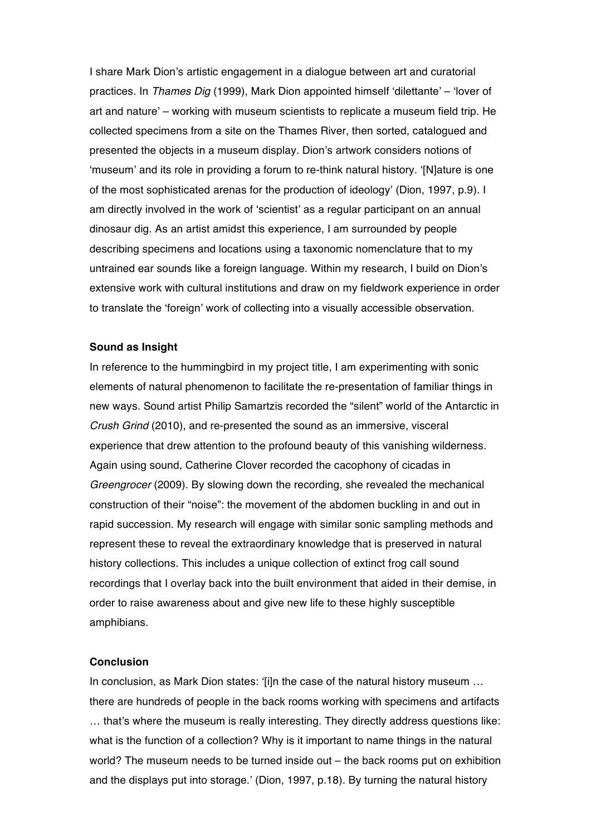I share Mark Dion's artistic engagement in a dialogue between art and curatorial practices. In *Thames Dig* (1999), Mark Dion appointed himself 'dilettante' – 'lover of art and nature' – working with museum scientists to replicate a museum field trip. He collected specimens from a site on the Thames River, then sorted, catalogued and presented the objects in a museum display. Dion's artwork considers notions of 'museum' and its role in providing a forum to re-think natural history. '[N]ature is one of the most sophisticated arenas for the production of ideology' (Dion, 1997, p.9). I am directly involved in the work of 'scientist' as a regular participant on an annual dinosaur dig. As an artist amidst this experience, I am surrounded by people describing specimens and locations using a taxonomic nomenclature that to my untrained ear sounds like a foreign language. Within my research, I build on Dion's extensive work with cultural institutions and draw on my fieldwork experience in order to translate the 'foreign' work of collecting into a visually accessible observation.

### **Sound as Insight**

In reference to the hummingbird in my project title, I am experimenting with sonic elements of natural phenomenon to facilitate the re-presentation of familiar things in new ways. Sound artist Philip Samartzis recorded the "silent" world of the Antarctic in *Crush Grind* (2010), and re-presented the sound as an immersive, visceral experience that drew attention to the profound beauty of this vanishing wilderness. Again using sound, Catherine Clover recorded the cacophony of cicadas in *Greengrocer* (2009). By slowing down the recording, she revealed the mechanical construction of their "noise": the movement of the abdomen buckling in and out in rapid succession. My research will engage with similar sonic sampling methods and represent these to reveal the extraordinary knowledge that is preserved in natural history collections. This includes a unique collection of extinct frog call sound recordings that I overlay back into the built environment that aided in their demise, in order to raise awareness about and give new life to these highly susceptible amphibians.

# **Conclusion**

In conclusion, as Mark Dion states: '[i]n the case of the natural history museum … there are hundreds of people in the back rooms working with specimens and artifacts … that's where the museum is really interesting. They directly address questions like: what is the function of a collection? Why is it important to name things in the natural world? The museum needs to be turned inside out – the back rooms put on exhibition and the displays put into storage.' (Dion, 1997, p.18). By turning the natural history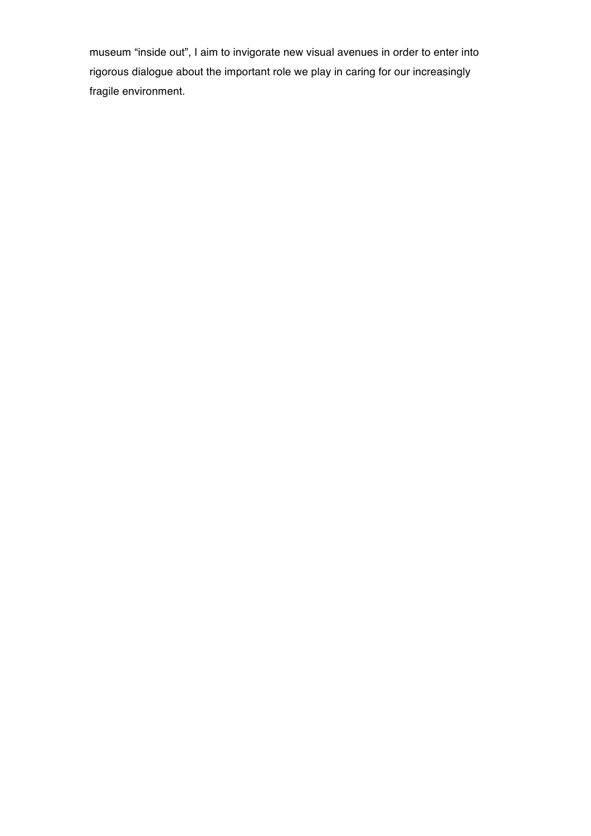museum "inside out", I aim to invigorate new visual avenues in order to enter into rigorous dialogue about the important role we play in caring for our increasingly fragile environment.